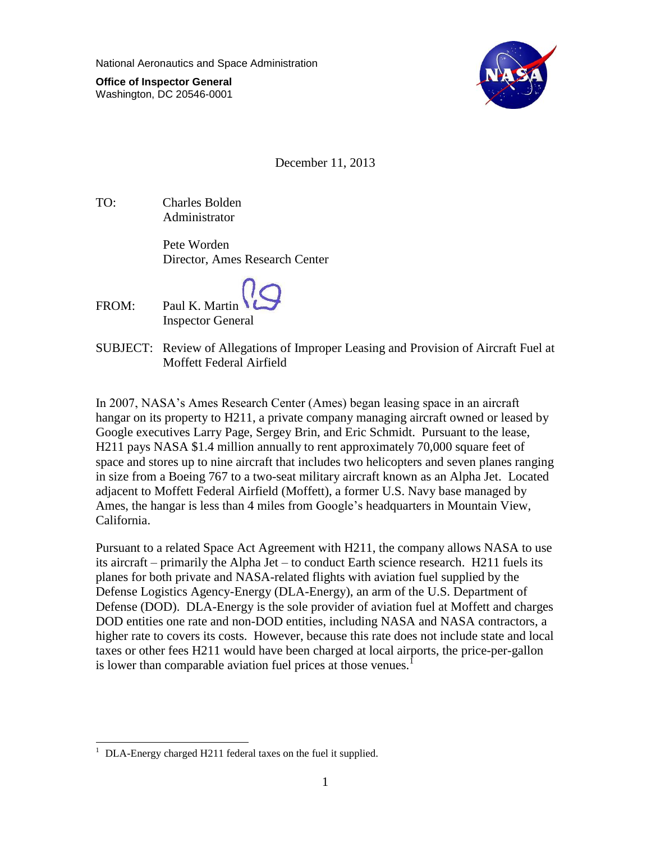National Aeronautics and Space Administration

**Office of Inspector General** Washington, DC 20546-0001



December 11, 2013

TO: Charles Bolden Administrator

> Pete Worden Director, Ames Research Center

FROM: Paul K. Martin Inspector General

SUBJECT: Review of Allegations of Improper Leasing and Provision of Aircraft Fuel at Moffett Federal Airfield

In 2007, NASA's Ames Research Center (Ames) began leasing space in an aircraft hangar on its property to H211, a private company managing aircraft owned or leased by Google executives Larry Page, Sergey Brin, and Eric Schmidt. Pursuant to the lease, H211 pays NASA \$1.4 million annually to rent approximately 70,000 square feet of space and stores up to nine aircraft that includes two helicopters and seven planes ranging in size from a Boeing 767 to a two-seat military aircraft known as an Alpha Jet. Located adjacent to Moffett Federal Airfield (Moffett), a former U.S. Navy base managed by Ames, the hangar is less than 4 miles from Google's headquarters in Mountain View, California.

Pursuant to a related Space Act Agreement with H211, the company allows NASA to use its aircraft – primarily the Alpha Jet – to conduct Earth science research. H211 fuels its planes for both private and NASA-related flights with aviation fuel supplied by the Defense Logistics Agency-Energy (DLA-Energy), an arm of the U.S. Department of Defense (DOD). DLA-Energy is the sole provider of aviation fuel at Moffett and charges DOD entities one rate and non-DOD entities, including NASA and NASA contractors, a higher rate to covers its costs. However, because this rate does not include state and local taxes or other fees H211 would have been charged at local airports, the price-per-gallon is lower than comparable aviation fuel prices at those venues.<sup>1</sup>

 $\overline{a}$ <sup>1</sup> DLA-Energy charged H211 federal taxes on the fuel it supplied.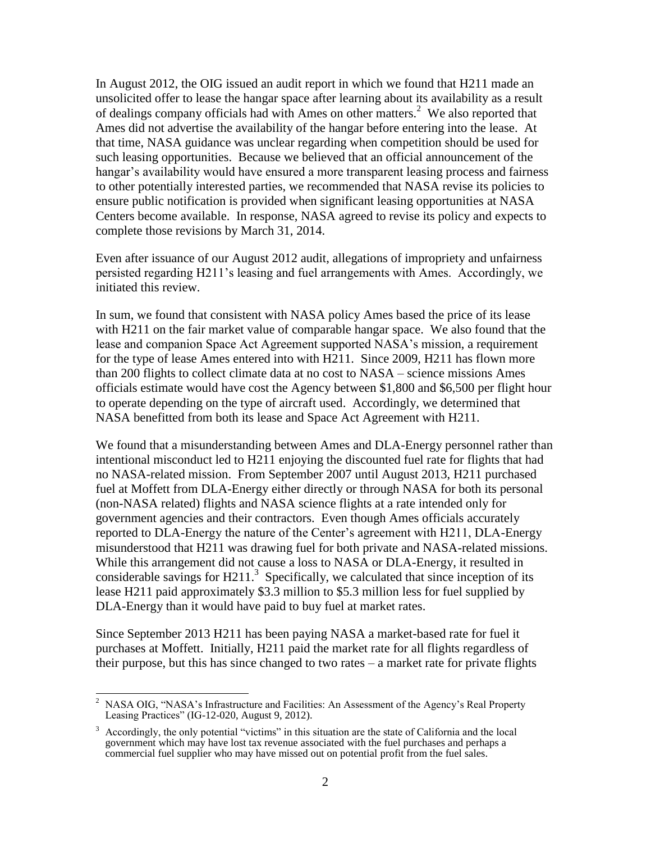In August 2012, the OIG issued an audit report in which we found that H211 made an unsolicited offer to lease the hangar space after learning about its availability as a result of dealings company officials had with Ames on other matters. 2 We also reported that Ames did not advertise the availability of the hangar before entering into the lease. At that time, NASA guidance was unclear regarding when competition should be used for such leasing opportunities. Because we believed that an official announcement of the hangar's availability would have ensured a more transparent leasing process and fairness to other potentially interested parties, we recommended that NASA revise its policies to ensure public notification is provided when significant leasing opportunities at NASA Centers become available. In response, NASA agreed to revise its policy and expects to complete those revisions by March 31, 2014.

Even after issuance of our August 2012 audit, allegations of impropriety and unfairness persisted regarding H211's leasing and fuel arrangements with Ames. Accordingly, we initiated this review.

In sum, we found that consistent with NASA policy Ames based the price of its lease with H211 on the fair market value of comparable hangar space. We also found that the lease and companion Space Act Agreement supported NASA's mission, a requirement for the type of lease Ames entered into with H211. Since 2009, H211 has flown more than 200 flights to collect climate data at no cost to NASA – science missions Ames officials estimate would have cost the Agency between \$1,800 and \$6,500 per flight hour to operate depending on the type of aircraft used. Accordingly, we determined that NASA benefitted from both its lease and Space Act Agreement with H211.

We found that a misunderstanding between Ames and DLA-Energy personnel rather than intentional misconduct led to H211 enjoying the discounted fuel rate for flights that had no NASA-related mission. From September 2007 until August 2013, H211 purchased fuel at Moffett from DLA-Energy either directly or through NASA for both its personal (non-NASA related) flights and NASA science flights at a rate intended only for government agencies and their contractors. Even though Ames officials accurately reported to DLA-Energy the nature of the Center's agreement with H211, DLA-Energy misunderstood that H211 was drawing fuel for both private and NASA-related missions. While this arrangement did not cause a loss to NASA or DLA-Energy, it resulted in considerable savings for H211.<sup>3</sup> Specifically, we calculated that since inception of its lease H211 paid approximately \$3.3 million to \$5.3 million less for fuel supplied by DLA-Energy than it would have paid to buy fuel at market rates.

Since September 2013 H211 has been paying NASA a market-based rate for fuel it purchases at Moffett. Initially, H211 paid the market rate for all flights regardless of their purpose, but this has since changed to two rates – a market rate for private flights

 $\overline{1}$ 

<sup>2</sup> NASA OIG, "NASA's Infrastructure and Facilities: An Assessment of the Agency's Real Property Leasing Practices" (IG-12-020, August 9, 2012).

Accordingly, the only potential "victims" in this situation are the state of California and the local government which may have lost tax revenue associated with the fuel purchases and perhaps a commercial fuel supplier who may have missed out on potential profit from the fuel sales.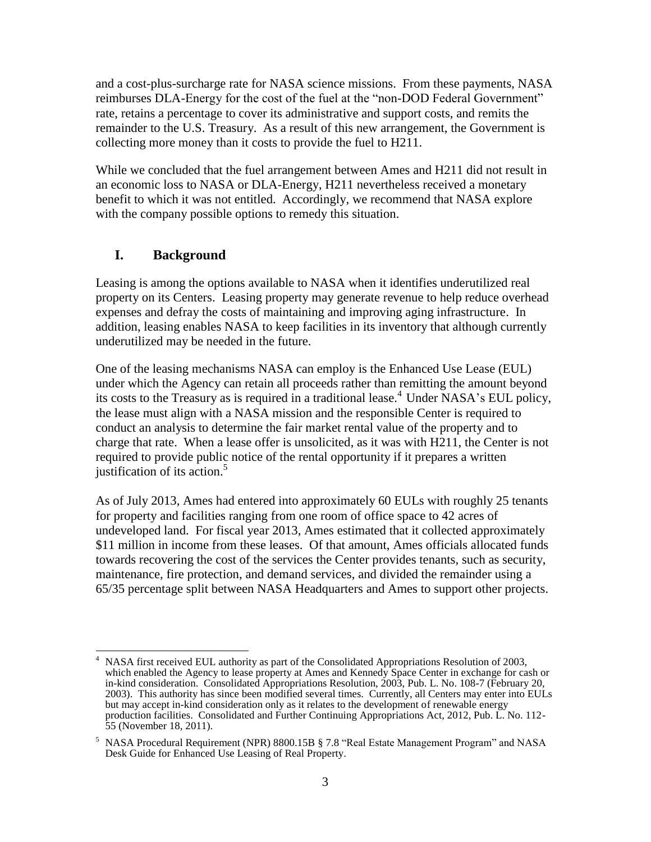and a cost-plus-surcharge rate for NASA science missions. From these payments, NASA reimburses DLA-Energy for the cost of the fuel at the "non-DOD Federal Government" rate, retains a percentage to cover its administrative and support costs, and remits the remainder to the U.S. Treasury. As a result of this new arrangement, the Government is collecting more money than it costs to provide the fuel to H211.

While we concluded that the fuel arrangement between Ames and H211 did not result in an economic loss to NASA or DLA-Energy, H211 nevertheless received a monetary benefit to which it was not entitled. Accordingly, we recommend that NASA explore with the company possible options to remedy this situation.

# **I. Background**

Leasing is among the options available to NASA when it identifies underutilized real property on its Centers. Leasing property may generate revenue to help reduce overhead expenses and defray the costs of maintaining and improving aging infrastructure. In addition, leasing enables NASA to keep facilities in its inventory that although currently underutilized may be needed in the future.

One of the leasing mechanisms NASA can employ is the Enhanced Use Lease (EUL) under which the Agency can retain all proceeds rather than remitting the amount beyond its costs to the Treasury as is required in a traditional lease. <sup>4</sup> Under NASA's EUL policy, the lease must align with a NASA mission and the responsible Center is required to conduct an analysis to determine the fair market rental value of the property and to charge that rate. When a lease offer is unsolicited, as it was with H211, the Center is not required to provide public notice of the rental opportunity if it prepares a written justification of its action. 5

As of July 2013, Ames had entered into approximately 60 EULs with roughly 25 tenants for property and facilities ranging from one room of office space to 42 acres of undeveloped land. For fiscal year 2013, Ames estimated that it collected approximately \$11 million in income from these leases. Of that amount, Ames officials allocated funds towards recovering the cost of the services the Center provides tenants, such as security, maintenance, fire protection, and demand services, and divided the remainder using a 65/35 percentage split between NASA Headquarters and Ames to support other projects.

 $\overline{a}$ <sup>4</sup> NASA first received EUL authority as part of the Consolidated Appropriations Resolution of 2003, which enabled the Agency to lease property at Ames and Kennedy Space Center in exchange for cash or in-kind consideration. Consolidated Appropriations Resolution, 2003, Pub. L. No. 108-7 (February 20, 2003). This authority has since been modified several times. Currently, all Centers may enter into EULs but may accept in-kind consideration only as it relates to the development of renewable energy production facilities. Consolidated and Further Continuing Appropriations Act, 2012, Pub. L. No. 112- 55 (November 18, 2011).

<sup>&</sup>lt;sup>5</sup> NASA Procedural Requirement (NPR) 8800.15B § 7.8 "Real Estate Management Program" and NASA Desk Guide for Enhanced Use Leasing of Real Property.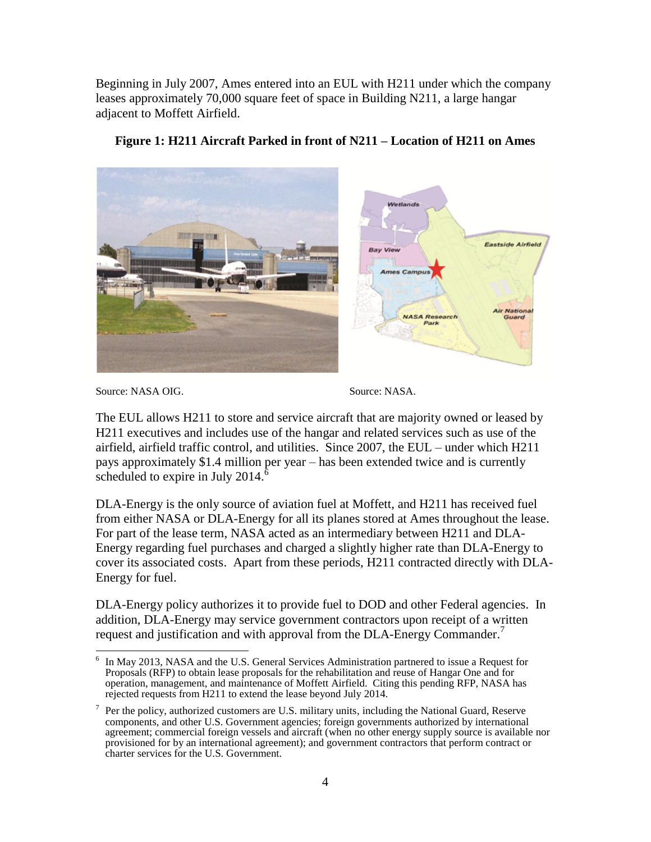Beginning in July 2007, Ames entered into an EUL with H211 under which the company leases approximately 70,000 square feet of space in Building N211, a large hangar adjacent to Moffett Airfield.



### **Figure 1: H211 Aircraft Parked in front of N211 – Location of H211 on Ames**

Source: NASA OIG. Source: NASA.

The EUL allows H211 to store and service aircraft that are majority owned or leased by H211 executives and includes use of the hangar and related services such as use of the airfield, airfield traffic control, and utilities. Since 2007, the EUL – under which H211 pays approximately \$1.4 million per year – has been extended twice and is currently scheduled to expire in July 2014. $\delta$ 

DLA-Energy is the only source of aviation fuel at Moffett, and H211 has received fuel from either NASA or DLA-Energy for all its planes stored at Ames throughout the lease. For part of the lease term, NASA acted as an intermediary between H211 and DLA-Energy regarding fuel purchases and charged a slightly higher rate than DLA-Energy to cover its associated costs. Apart from these periods, H211 contracted directly with DLA-Energy for fuel.

DLA-Energy policy authorizes it to provide fuel to DOD and other Federal agencies. In addition, DLA-Energy may service government contractors upon receipt of a written request and justification and with approval from the DLA-Energy Commander.<sup>7</sup>

 $\overline{a}$ 6 In May 2013, NASA and the U.S. General Services Administration partnered to issue a Request for Proposals (RFP) to obtain lease proposals for the rehabilitation and reuse of Hangar One and for operation, management, and maintenance of Moffett Airfield. Citing this pending RFP, NASA has rejected requests from H211 to extend the lease beyond July 2014.

<sup>7</sup> Per the policy, authorized customers are U.S. military units, including the National Guard, Reserve components, and other U.S. Government agencies; foreign governments authorized by international agreement; commercial foreign vessels and aircraft (when no other energy supply source is available nor provisioned for by an international agreement); and government contractors that perform contract or charter services for the U.S. Government.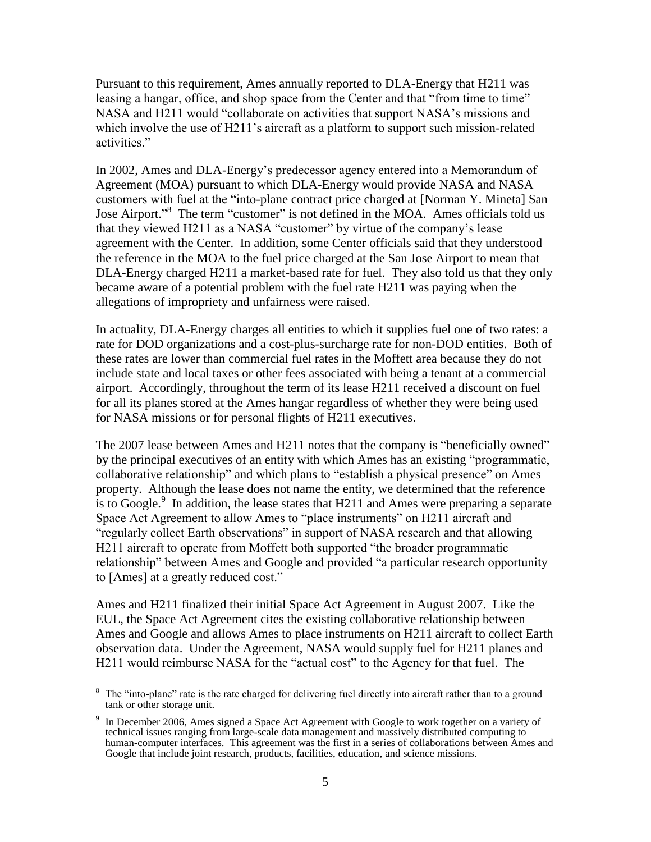Pursuant to this requirement, Ames annually reported to DLA-Energy that H211 was leasing a hangar, office, and shop space from the Center and that "from time to time" NASA and H211 would "collaborate on activities that support NASA's missions and which involve the use of H211's aircraft as a platform to support such mission-related activities."

In 2002, Ames and DLA-Energy's predecessor agency entered into a Memorandum of Agreement (MOA) pursuant to which DLA-Energy would provide NASA and NASA customers with fuel at the "into-plane contract price charged at [Norman Y. Mineta] San Jose Airport."<sup>8</sup> The term "customer" is not defined in the MOA. Ames officials told us that they viewed H211 as a NASA "customer" by virtue of the company's lease agreement with the Center. In addition, some Center officials said that they understood the reference in the MOA to the fuel price charged at the San Jose Airport to mean that DLA-Energy charged H211 a market-based rate for fuel. They also told us that they only became aware of a potential problem with the fuel rate H211 was paying when the allegations of impropriety and unfairness were raised.

In actuality, DLA-Energy charges all entities to which it supplies fuel one of two rates: a rate for DOD organizations and a cost-plus-surcharge rate for non-DOD entities. Both of these rates are lower than commercial fuel rates in the Moffett area because they do not include state and local taxes or other fees associated with being a tenant at a commercial airport. Accordingly, throughout the term of its lease H211 received a discount on fuel for all its planes stored at the Ames hangar regardless of whether they were being used for NASA missions or for personal flights of H211 executives.

The 2007 lease between Ames and H211 notes that the company is "beneficially owned" by the principal executives of an entity with which Ames has an existing "programmatic, collaborative relationship" and which plans to "establish a physical presence" on Ames property. Although the lease does not name the entity, we determined that the reference is to Google.<sup>9</sup> In addition, the lease states that H211 and Ames were preparing a separate Space Act Agreement to allow Ames to "place instruments" on H211 aircraft and "regularly collect Earth observations" in support of NASA research and that allowing H211 aircraft to operate from Moffett both supported "the broader programmatic relationship" between Ames and Google and provided "a particular research opportunity to [Ames] at a greatly reduced cost."

Ames and H211 finalized their initial Space Act Agreement in August 2007. Like the EUL, the Space Act Agreement cites the existing collaborative relationship between Ames and Google and allows Ames to place instruments on H211 aircraft to collect Earth observation data. Under the Agreement, NASA would supply fuel for H211 planes and H211 would reimburse NASA for the "actual cost" to the Agency for that fuel. The

 $\overline{a}$ 

The "into-plane" rate is the rate charged for delivering fuel directly into aircraft rather than to a ground tank or other storage unit.

<sup>9</sup> In December 2006, Ames signed a Space Act Agreement with Google to work together on a variety of technical issues ranging from large-scale data management and massively distributed computing to human-computer interfaces. This agreement was the first in a series of collaborations between Ames and Google that include joint research, products, facilities, education, and science missions.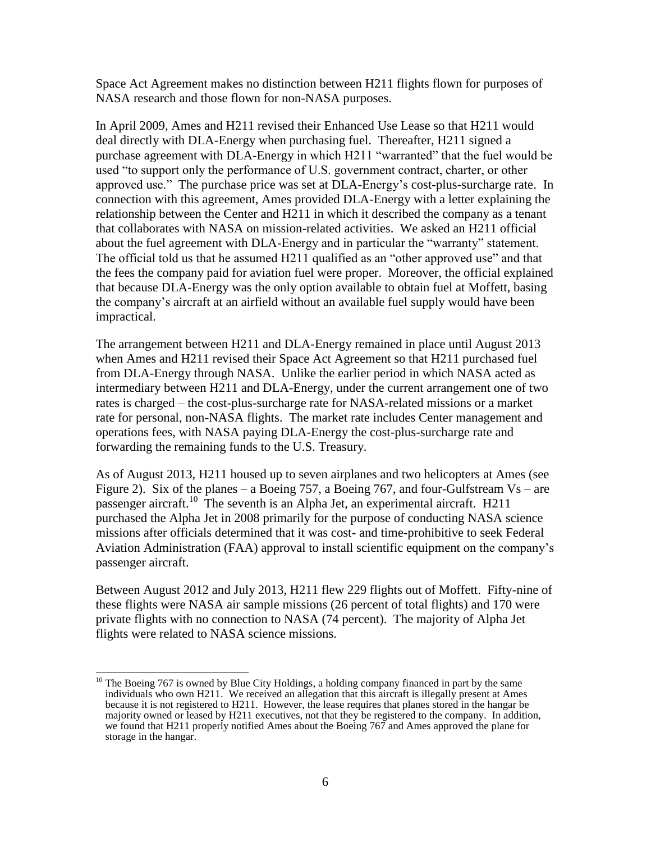Space Act Agreement makes no distinction between H211 flights flown for purposes of NASA research and those flown for non-NASA purposes.

In April 2009, Ames and H211 revised their Enhanced Use Lease so that H211 would deal directly with DLA-Energy when purchasing fuel. Thereafter, H211 signed a purchase agreement with DLA-Energy in which H211 "warranted" that the fuel would be used "to support only the performance of U.S. government contract, charter, or other approved use." The purchase price was set at DLA-Energy's cost-plus-surcharge rate. In connection with this agreement, Ames provided DLA-Energy with a letter explaining the relationship between the Center and H211 in which it described the company as a tenant that collaborates with NASA on mission-related activities. We asked an H211 official about the fuel agreement with DLA-Energy and in particular the "warranty" statement. The official told us that he assumed H211 qualified as an "other approved use" and that the fees the company paid for aviation fuel were proper. Moreover, the official explained that because DLA-Energy was the only option available to obtain fuel at Moffett, basing the company's aircraft at an airfield without an available fuel supply would have been impractical.

The arrangement between H211 and DLA-Energy remained in place until August 2013 when Ames and H211 revised their Space Act Agreement so that H211 purchased fuel from DLA-Energy through NASA. Unlike the earlier period in which NASA acted as intermediary between H211 and DLA-Energy, under the current arrangement one of two rates is charged – the cost-plus-surcharge rate for NASA-related missions or a market rate for personal, non-NASA flights. The market rate includes Center management and operations fees, with NASA paying DLA-Energy the cost-plus-surcharge rate and forwarding the remaining funds to the U.S. Treasury.

As of August 2013, H211 housed up to seven airplanes and two helicopters at Ames (see Figure 2). Six of the planes – a Boeing 757, a Boeing 767, and four-Gulfstream  $Vs$  – are passenger aircraft.<sup>10</sup> The seventh is an Alpha Jet, an experimental aircraft. H211 purchased the Alpha Jet in 2008 primarily for the purpose of conducting NASA science missions after officials determined that it was cost- and time-prohibitive to seek Federal Aviation Administration (FAA) approval to install scientific equipment on the company's passenger aircraft.

Between August 2012 and July 2013, H211 flew 229 flights out of Moffett. Fifty-nine of these flights were NASA air sample missions (26 percent of total flights) and 170 were private flights with no connection to NASA (74 percent). The majority of Alpha Jet flights were related to NASA science missions.

 $\overline{a}$ 

 $10$  The Boeing 767 is owned by Blue City Holdings, a holding company financed in part by the same individuals who own H211. We received an allegation that this aircraft is illegally present at Ames because it is not registered to H211. However, the lease requires that planes stored in the hangar be majority owned or leased by H211 executives, not that they be registered to the company. In addition, we found that H211 properly notified Ames about the Boeing 767 and Ames approved the plane for storage in the hangar.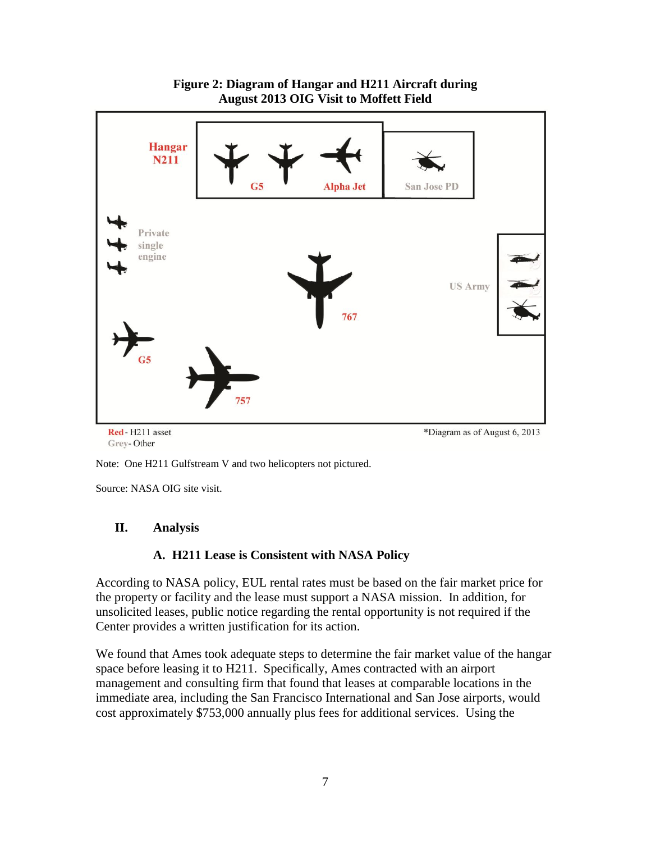

**Figure 2: Diagram of Hangar and H211 Aircraft during August 2013 OIG Visit to Moffett Field**

Note: One H211 Gulfstream V and two helicopters not pictured.

Source: NASA OIG site visit.

### **II. Analysis**

#### **A. H211 Lease is Consistent with NASA Policy**

According to NASA policy, EUL rental rates must be based on the fair market price for the property or facility and the lease must support a NASA mission. In addition, for unsolicited leases, public notice regarding the rental opportunity is not required if the Center provides a written justification for its action.

We found that Ames took adequate steps to determine the fair market value of the hangar space before leasing it to H211. Specifically, Ames contracted with an airport management and consulting firm that found that leases at comparable locations in the immediate area, including the San Francisco International and San Jose airports, would cost approximately \$753,000 annually plus fees for additional services. Using the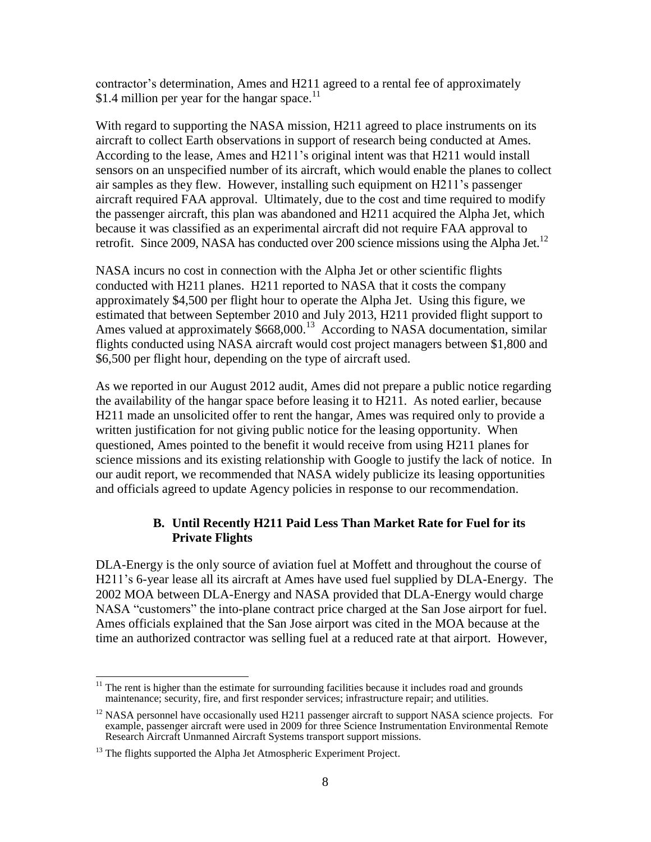contractor's determination, Ames and H211 agreed to a rental fee of approximately \$1.4 million per year for the hangar space. $11$ 

With regard to supporting the NASA mission, H211 agreed to place instruments on its aircraft to collect Earth observations in support of research being conducted at Ames. According to the lease, Ames and H211's original intent was that H211 would install sensors on an unspecified number of its aircraft, which would enable the planes to collect air samples as they flew. However, installing such equipment on H211's passenger aircraft required FAA approval. Ultimately, due to the cost and time required to modify the passenger aircraft, this plan was abandoned and H211 acquired the Alpha Jet, which because it was classified as an experimental aircraft did not require FAA approval to retrofit. Since 2009, NASA has conducted over 200 science missions using the Alpha Jet.<sup>12</sup>

NASA incurs no cost in connection with the Alpha Jet or other scientific flights conducted with H211 planes. H211 reported to NASA that it costs the company approximately \$4,500 per flight hour to operate the Alpha Jet. Using this figure, we estimated that between September 2010 and July 2013, H211 provided flight support to Ames valued at approximately \$668,000.<sup>13</sup> According to NASA documentation, similar flights conducted using NASA aircraft would cost project managers between \$1,800 and \$6,500 per flight hour, depending on the type of aircraft used.

As we reported in our August 2012 audit, Ames did not prepare a public notice regarding the availability of the hangar space before leasing it to H211. As noted earlier, because H211 made an unsolicited offer to rent the hangar, Ames was required only to provide a written justification for not giving public notice for the leasing opportunity. When questioned, Ames pointed to the benefit it would receive from using H211 planes for science missions and its existing relationship with Google to justify the lack of notice. In our audit report, we recommended that NASA widely publicize its leasing opportunities and officials agreed to update Agency policies in response to our recommendation.

## **B. Until Recently H211 Paid Less Than Market Rate for Fuel for its Private Flights**

DLA-Energy is the only source of aviation fuel at Moffett and throughout the course of H211's 6-year lease all its aircraft at Ames have used fuel supplied by DLA-Energy. The 2002 MOA between DLA-Energy and NASA provided that DLA-Energy would charge NASA "customers" the into-plane contract price charged at the San Jose airport for fuel. Ames officials explained that the San Jose airport was cited in the MOA because at the time an authorized contractor was selling fuel at a reduced rate at that airport. However,

 $\overline{a}$  $11$  The rent is higher than the estimate for surrounding facilities because it includes road and grounds maintenance; security, fire, and first responder services; infrastructure repair; and utilities.

<sup>&</sup>lt;sup>12</sup> NASA personnel have occasionally used H211 passenger aircraft to support NASA science projects. For example, passenger aircraft were used in 2009 for three Science Instrumentation Environmental Remote Research Aircraft Unmanned Aircraft Systems transport support missions.

<sup>&</sup>lt;sup>13</sup> The flights supported the Alpha Jet Atmospheric Experiment Project.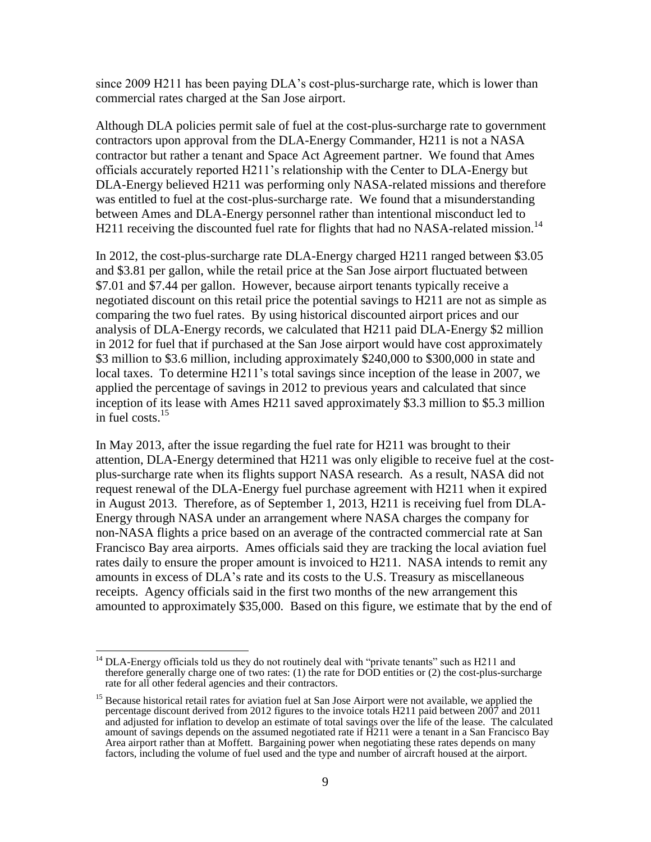since 2009 H211 has been paying DLA's cost-plus-surcharge rate, which is lower than commercial rates charged at the San Jose airport.

Although DLA policies permit sale of fuel at the cost-plus-surcharge rate to government contractors upon approval from the DLA-Energy Commander, H211 is not a NASA contractor but rather a tenant and Space Act Agreement partner. We found that Ames officials accurately reported H211's relationship with the Center to DLA-Energy but DLA-Energy believed H211 was performing only NASA-related missions and therefore was entitled to fuel at the cost-plus-surcharge rate. We found that a misunderstanding between Ames and DLA-Energy personnel rather than intentional misconduct led to H211 receiving the discounted fuel rate for flights that had no NASA-related mission.<sup>14</sup>

In 2012, the cost-plus-surcharge rate DLA-Energy charged H211 ranged between \$3.05 and \$3.81 per gallon, while the retail price at the San Jose airport fluctuated between \$7.01 and \$7.44 per gallon. However, because airport tenants typically receive a negotiated discount on this retail price the potential savings to H211 are not as simple as comparing the two fuel rates. By using historical discounted airport prices and our analysis of DLA-Energy records, we calculated that H211 paid DLA-Energy \$2 million in 2012 for fuel that if purchased at the San Jose airport would have cost approximately \$3 million to \$3.6 million, including approximately \$240,000 to \$300,000 in state and local taxes. To determine H211's total savings since inception of the lease in 2007, we applied the percentage of savings in 2012 to previous years and calculated that since inception of its lease with Ames H211 saved approximately \$3.3 million to \$5.3 million in fuel costs. 15

In May 2013, after the issue regarding the fuel rate for H211 was brought to their attention, DLA-Energy determined that H211 was only eligible to receive fuel at the costplus-surcharge rate when its flights support NASA research. As a result, NASA did not request renewal of the DLA-Energy fuel purchase agreement with H211 when it expired in August 2013. Therefore, as of September 1, 2013, H211 is receiving fuel from DLA-Energy through NASA under an arrangement where NASA charges the company for non-NASA flights a price based on an average of the contracted commercial rate at San Francisco Bay area airports. Ames officials said they are tracking the local aviation fuel rates daily to ensure the proper amount is invoiced to H211. NASA intends to remit any amounts in excess of DLA's rate and its costs to the U.S. Treasury as miscellaneous receipts. Agency officials said in the first two months of the new arrangement this amounted to approximately \$35,000. Based on this figure, we estimate that by the end of

 $\overline{a}$ 

 $14$  DLA-Energy officials told us they do not routinely deal with "private tenants" such as H211 and therefore generally charge one of two rates: (1) the rate for DOD entities or (2) the cost-plus-surcharge rate for all other federal agencies and their contractors.

<sup>&</sup>lt;sup>15</sup> Because historical retail rates for aviation fuel at San Jose Airport were not available, we applied the percentage discount derived from 2012 figures to the invoice totals H211 paid between 2007 and 2011 and adjusted for inflation to develop an estimate of total savings over the life of the lease. The calculated amount of savings depends on the assumed negotiated rate if H211 were a tenant in a San Francisco Bay Area airport rather than at Moffett. Bargaining power when negotiating these rates depends on many factors, including the volume of fuel used and the type and number of aircraft housed at the airport.